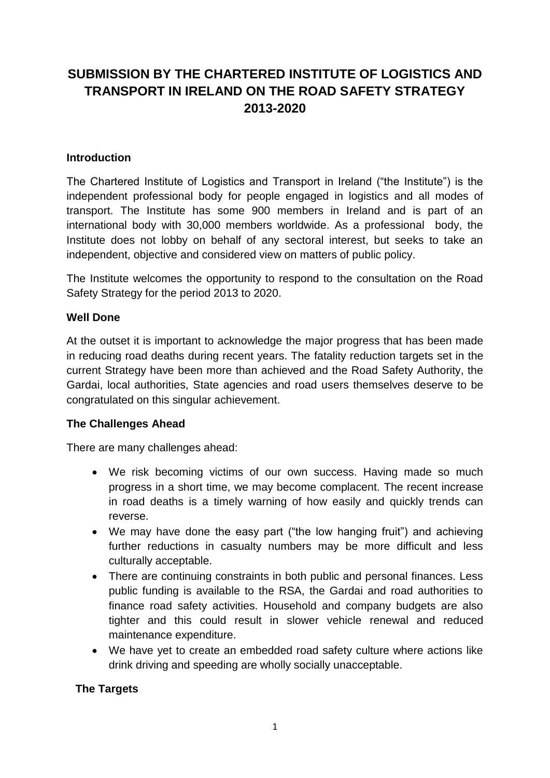# **SUBMISSION BY THE CHARTERED INSTITUTE OF LOGISTICS AND TRANSPORT IN IRELAND ON THE ROAD SAFETY STRATEGY 2013-2020**

## **Introduction**

The Chartered Institute of Logistics and Transport in Ireland ("the Institute") is the independent professional body for people engaged in logistics and all modes of transport. The Institute has some 900 members in Ireland and is part of an international body with 30,000 members worldwide. As a professional body, the Institute does not lobby on behalf of any sectoral interest, but seeks to take an independent, objective and considered view on matters of public policy.

The Institute welcomes the opportunity to respond to the consultation on the Road Safety Strategy for the period 2013 to 2020.

### **Well Done**

At the outset it is important to acknowledge the major progress that has been made in reducing road deaths during recent years. The fatality reduction targets set in the current Strategy have been more than achieved and the Road Safety Authority, the Gardai, local authorities, State agencies and road users themselves deserve to be congratulated on this singular achievement.

#### **The Challenges Ahead**

There are many challenges ahead:

- We risk becoming victims of our own success. Having made so much progress in a short time, we may become complacent. The recent increase in road deaths is a timely warning of how easily and quickly trends can reverse.
- We may have done the easy part ("the low hanging fruit") and achieving further reductions in casualty numbers may be more difficult and less culturally acceptable.
- There are continuing constraints in both public and personal finances. Less public funding is available to the RSA, the Gardai and road authorities to finance road safety activities. Household and company budgets are also tighter and this could result in slower vehicle renewal and reduced maintenance expenditure.
- We have yet to create an embedded road safety culture where actions like drink driving and speeding are wholly socially unacceptable.

#### **The Targets**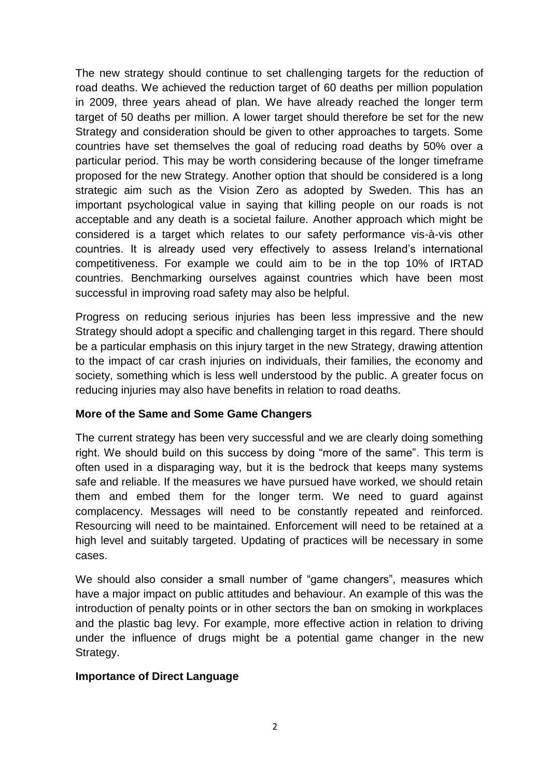The new strategy should continue to set challenging targets for the reduction of road deaths. We achieved the reduction target of 60 deaths per million population in 2009, three years ahead of plan. We have already reached the longer term target of 50 deaths per million. A lower target should therefore be set for the new Strategy and consideration should be given to other approaches to targets. Some countries have set themselves the goal of reducing road deaths by 50% over a particular period. This may be worth considering because of the longer timeframe proposed for the new Strategy. Another option that should be considered is a long strategic aim such as the Vision Zero as adopted by Sweden. This has an important psychological value in saying that killing people on our roads is not acceptable and any death is a societal failure. Another approach which might be considered is a target which relates to our safety performance vis-à-vis other countries. It is already used very effectively to assess Ireland's international competitiveness. For example we could aim to be in the top 10% of IRTAD countries. Benchmarking ourselves against countries which have been most successful in improving road safety may also be helpful.

Progress on reducing serious injuries has been less impressive and the new Strategy should adopt a specific and challenging target in this regard. There should be a particular emphasis on this injury target in the new Strategy, drawing attention to the impact of car crash injuries on individuals, their families, the economy and society, something which is less well understood by the public. A greater focus on reducing injuries may also have benefits in relation to road deaths.

#### **More of the Same and Some Game Changers**

The current strategy has been very successful and we are clearly doing something right. We should build on this success by doing "more of the same". This term is often used in a disparaging way, but it is the bedrock that keeps many systems safe and reliable. If the measures we have pursued have worked, we should retain them and embed them for the longer term. We need to guard against complacency. Messages will need to be constantly repeated and reinforced. Resourcing will need to be maintained. Enforcement will need to be retained at a high level and suitably targeted. Updating of practices will be necessary in some cases.

We should also consider a small number of "game changers", measures which have a major impact on public attitudes and behaviour. An example of this was the introduction of penalty points or in other sectors the ban on smoking in workplaces and the plastic bag levy. For example, more effective action in relation to driving under the influence of drugs might be a potential game changer in the new Strategy.

#### **Importance of Direct Language**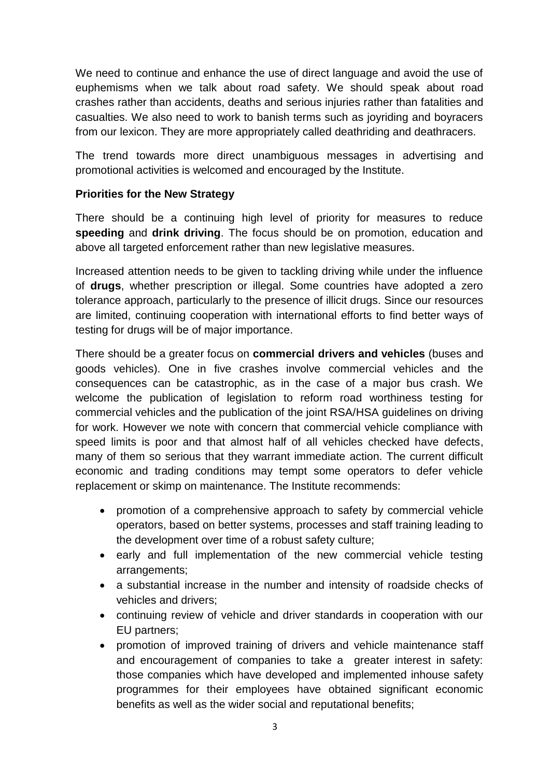We need to continue and enhance the use of direct language and avoid the use of euphemisms when we talk about road safety. We should speak about road crashes rather than accidents, deaths and serious injuries rather than fatalities and casualties. We also need to work to banish terms such as joyriding and boyracers from our lexicon. They are more appropriately called deathriding and deathracers.

The trend towards more direct unambiguous messages in advertising and promotional activities is welcomed and encouraged by the Institute.

# **Priorities for the New Strategy**

There should be a continuing high level of priority for measures to reduce **speeding** and **drink driving**. The focus should be on promotion, education and above all targeted enforcement rather than new legislative measures.

Increased attention needs to be given to tackling driving while under the influence of **drugs**, whether prescription or illegal. Some countries have adopted a zero tolerance approach, particularly to the presence of illicit drugs. Since our resources are limited, continuing cooperation with international efforts to find better ways of testing for drugs will be of major importance.

There should be a greater focus on **commercial drivers and vehicles** (buses and goods vehicles). One in five crashes involve commercial vehicles and the consequences can be catastrophic, as in the case of a major bus crash. We welcome the publication of legislation to reform road worthiness testing for commercial vehicles and the publication of the joint RSA/HSA guidelines on driving for work. However we note with concern that commercial vehicle compliance with speed limits is poor and that almost half of all vehicles checked have defects, many of them so serious that they warrant immediate action. The current difficult economic and trading conditions may tempt some operators to defer vehicle replacement or skimp on maintenance. The Institute recommends:

- promotion of a comprehensive approach to safety by commercial vehicle operators, based on better systems, processes and staff training leading to the development over time of a robust safety culture;
- early and full implementation of the new commercial vehicle testing arrangements;
- a substantial increase in the number and intensity of roadside checks of vehicles and drivers;
- continuing review of vehicle and driver standards in cooperation with our EU partners;
- promotion of improved training of drivers and vehicle maintenance staff and encouragement of companies to take a greater interest in safety: those companies which have developed and implemented inhouse safety programmes for their employees have obtained significant economic benefits as well as the wider social and reputational benefits;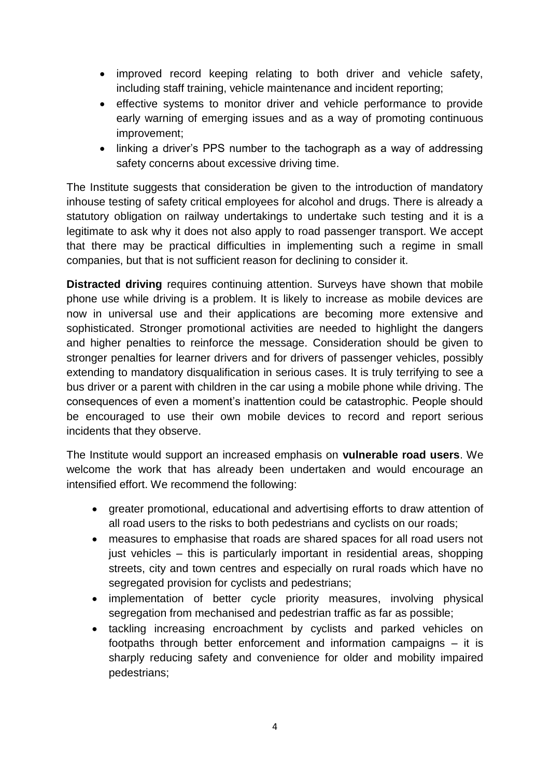- improved record keeping relating to both driver and vehicle safety, including staff training, vehicle maintenance and incident reporting;
- effective systems to monitor driver and vehicle performance to provide early warning of emerging issues and as a way of promoting continuous improvement;
- linking a driver's PPS number to the tachograph as a way of addressing safety concerns about excessive driving time.

The Institute suggests that consideration be given to the introduction of mandatory inhouse testing of safety critical employees for alcohol and drugs. There is already a statutory obligation on railway undertakings to undertake such testing and it is a legitimate to ask why it does not also apply to road passenger transport. We accept that there may be practical difficulties in implementing such a regime in small companies, but that is not sufficient reason for declining to consider it.

**Distracted driving** requires continuing attention. Surveys have shown that mobile phone use while driving is a problem. It is likely to increase as mobile devices are now in universal use and their applications are becoming more extensive and sophisticated. Stronger promotional activities are needed to highlight the dangers and higher penalties to reinforce the message. Consideration should be given to stronger penalties for learner drivers and for drivers of passenger vehicles, possibly extending to mandatory disqualification in serious cases. It is truly terrifying to see a bus driver or a parent with children in the car using a mobile phone while driving. The consequences of even a moment's inattention could be catastrophic. People should be encouraged to use their own mobile devices to record and report serious incidents that they observe.

The Institute would support an increased emphasis on **vulnerable road users**. We welcome the work that has already been undertaken and would encourage an intensified effort. We recommend the following:

- greater promotional, educational and advertising efforts to draw attention of all road users to the risks to both pedestrians and cyclists on our roads;
- measures to emphasise that roads are shared spaces for all road users not just vehicles – this is particularly important in residential areas, shopping streets, city and town centres and especially on rural roads which have no segregated provision for cyclists and pedestrians;
- implementation of better cycle priority measures, involving physical segregation from mechanised and pedestrian traffic as far as possible;
- tackling increasing encroachment by cyclists and parked vehicles on footpaths through better enforcement and information campaigns – it is sharply reducing safety and convenience for older and mobility impaired pedestrians;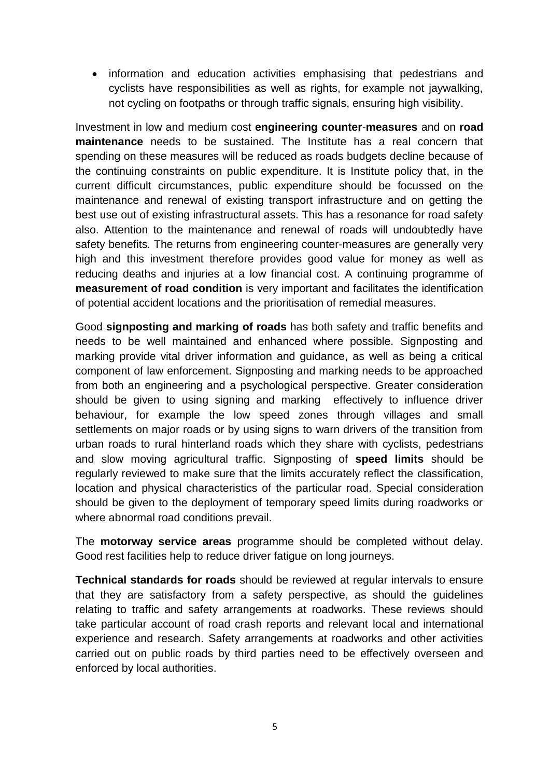• information and education activities emphasising that pedestrians and cyclists have responsibilities as well as rights, for example not jaywalking, not cycling on footpaths or through traffic signals, ensuring high visibility.

Investment in low and medium cost **engineering counter**-**measures** and on **road maintenance** needs to be sustained. The Institute has a real concern that spending on these measures will be reduced as roads budgets decline because of the continuing constraints on public expenditure. It is Institute policy that, in the current difficult circumstances, public expenditure should be focussed on the maintenance and renewal of existing transport infrastructure and on getting the best use out of existing infrastructural assets. This has a resonance for road safety also. Attention to the maintenance and renewal of roads will undoubtedly have safety benefits. The returns from engineering counter-measures are generally very high and this investment therefore provides good value for money as well as reducing deaths and injuries at a low financial cost. A continuing programme of **measurement of road condition** is very important and facilitates the identification of potential accident locations and the prioritisation of remedial measures.

Good **signposting and marking of roads** has both safety and traffic benefits and needs to be well maintained and enhanced where possible. Signposting and marking provide vital driver information and guidance, as well as being a critical component of law enforcement. Signposting and marking needs to be approached from both an engineering and a psychological perspective. Greater consideration should be given to using signing and marking effectively to influence driver behaviour, for example the low speed zones through villages and small settlements on major roads or by using signs to warn drivers of the transition from urban roads to rural hinterland roads which they share with cyclists, pedestrians and slow moving agricultural traffic. Signposting of **speed limits** should be regularly reviewed to make sure that the limits accurately reflect the classification, location and physical characteristics of the particular road. Special consideration should be given to the deployment of temporary speed limits during roadworks or where abnormal road conditions prevail.

The **motorway service areas** programme should be completed without delay. Good rest facilities help to reduce driver fatigue on long journeys.

**Technical standards for roads** should be reviewed at regular intervals to ensure that they are satisfactory from a safety perspective, as should the guidelines relating to traffic and safety arrangements at roadworks. These reviews should take particular account of road crash reports and relevant local and international experience and research. Safety arrangements at roadworks and other activities carried out on public roads by third parties need to be effectively overseen and enforced by local authorities.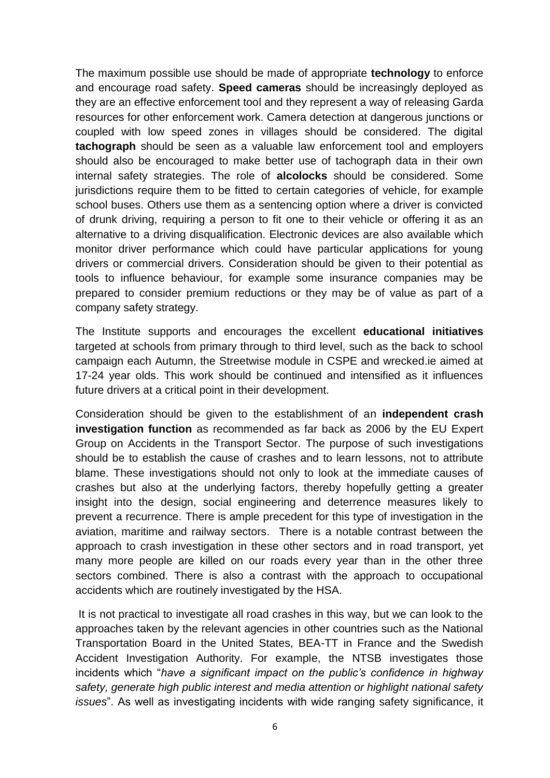The maximum possible use should be made of appropriate **technology** to enforce and encourage road safety. **Speed cameras** should be increasingly deployed as they are an effective enforcement tool and they represent a way of releasing Garda resources for other enforcement work. Camera detection at dangerous junctions or coupled with low speed zones in villages should be considered. The digital **tachograph** should be seen as a valuable law enforcement tool and employers should also be encouraged to make better use of tachograph data in their own internal safety strategies. The role of **alcolocks** should be considered. Some jurisdictions require them to be fitted to certain categories of vehicle, for example school buses. Others use them as a sentencing option where a driver is convicted of drunk driving, requiring a person to fit one to their vehicle or offering it as an alternative to a driving disqualification. Electronic devices are also available which monitor driver performance which could have particular applications for young drivers or commercial drivers. Consideration should be given to their potential as tools to influence behaviour, for example some insurance companies may be prepared to consider premium reductions or they may be of value as part of a company safety strategy.

The Institute supports and encourages the excellent **educational initiatives** targeted at schools from primary through to third level, such as the back to school campaign each Autumn, the Streetwise module in CSPE and wrecked.ie aimed at 17-24 year olds. This work should be continued and intensified as it influences future drivers at a critical point in their development.

Consideration should be given to the establishment of an **independent crash investigation function** as recommended as far back as 2006 by the EU Expert Group on Accidents in the Transport Sector. The purpose of such investigations should be to establish the cause of crashes and to learn lessons, not to attribute blame. These investigations should not only to look at the immediate causes of crashes but also at the underlying factors, thereby hopefully getting a greater insight into the design, social engineering and deterrence measures likely to prevent a recurrence. There is ample precedent for this type of investigation in the aviation, maritime and railway sectors. There is a notable contrast between the approach to crash investigation in these other sectors and in road transport, yet many more people are killed on our roads every year than in the other three sectors combined. There is also a contrast with the approach to occupational accidents which are routinely investigated by the HSA.

It is not practical to investigate all road crashes in this way, but we can look to the approaches taken by the relevant agencies in other countries such as the National Transportation Board in the United States, BEA-TT in France and the Swedish Accident Investigation Authority. For example, the NTSB investigates those incidents which "*have a significant impact on the public's confidence in highway safety, generate high public interest and media attention or highlight national safety issues*". As well as investigating incidents with wide ranging safety significance, it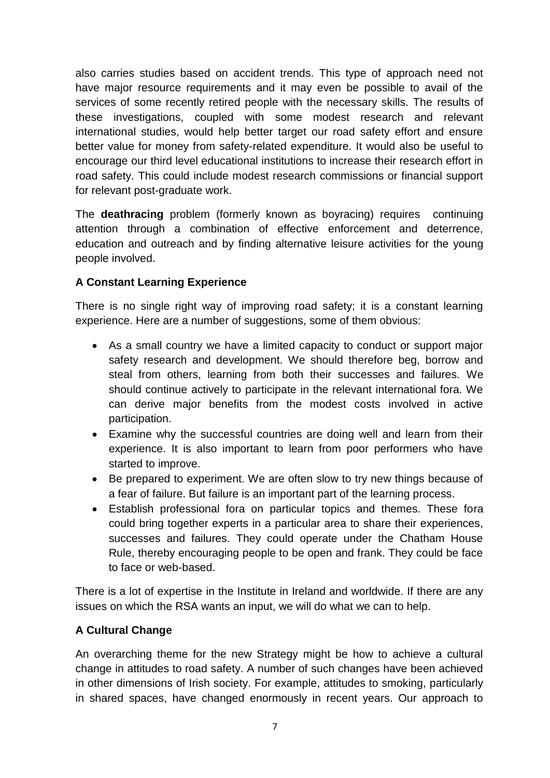also carries studies based on accident trends. This type of approach need not have major resource requirements and it may even be possible to avail of the services of some recently retired people with the necessary skills. The results of these investigations, coupled with some modest research and relevant international studies, would help better target our road safety effort and ensure better value for money from safety-related expenditure. It would also be useful to encourage our third level educational institutions to increase their research effort in road safety. This could include modest research commissions or financial support for relevant post-graduate work.

The **deathracing** problem (formerly known as boyracing) requires continuing attention through a combination of effective enforcement and deterrence, education and outreach and by finding alternative leisure activities for the young people involved.

# **A Constant Learning Experience**

There is no single right way of improving road safety; it is a constant learning experience. Here are a number of suggestions, some of them obvious:

- As a small country we have a limited capacity to conduct or support major safety research and development. We should therefore beg, borrow and steal from others, learning from both their successes and failures. We should continue actively to participate in the relevant international fora. We can derive major benefits from the modest costs involved in active participation.
- Examine why the successful countries are doing well and learn from their experience. It is also important to learn from poor performers who have started to improve.
- Be prepared to experiment. We are often slow to try new things because of a fear of failure. But failure is an important part of the learning process.
- Establish professional fora on particular topics and themes. These fora could bring together experts in a particular area to share their experiences, successes and failures. They could operate under the Chatham House Rule, thereby encouraging people to be open and frank. They could be face to face or web-based.

There is a lot of expertise in the Institute in Ireland and worldwide. If there are any issues on which the RSA wants an input, we will do what we can to help.

# **A Cultural Change**

An overarching theme for the new Strategy might be how to achieve a cultural change in attitudes to road safety. A number of such changes have been achieved in other dimensions of Irish society. For example, attitudes to smoking, particularly in shared spaces, have changed enormously in recent years. Our approach to